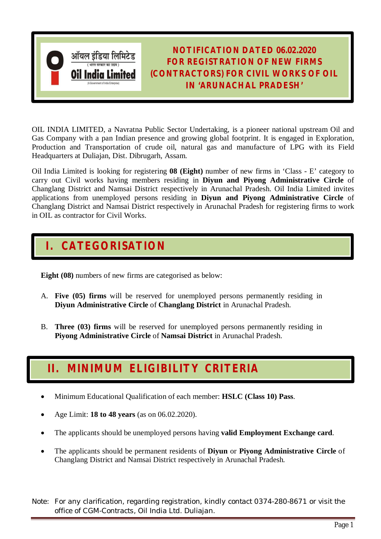

**NOTIFICATION DATED 06.02.2020 FOR REGISTRATION OF NEW FIRMS (CONTRACTORS) FOR CIVIL WORKS OF OIL IN 'ARUNACHAL PRADESH'**

OIL INDIA LIMITED, a Navratna Public Sector Undertaking, is a pioneer national upstream Oil and Gas Company with a pan Indian presence and growing global footprint. It is engaged in Exploration, Production and Transportation of crude oil, natural gas and manufacture of LPG with its Field Headquarters at Duliajan, Dist. Dibrugarh, Assam.

Oil India Limited is looking for registering **08 (Eight)** number of new firms in 'Class - E' category to carry out Civil works having members residing in **Diyun and Piyong Administrative Circle** of Changlang District and Namsai District respectively in Arunachal Pradesh. Oil India Limited invites applications from unemployed persons residing in **Diyun and Piyong Administrative Circle** of Changlang District and Namsai District respectively in Arunachal Pradesh for registering firms to work in OIL as contractor for Civil Works.

## **I. CATEGORISATION**

**Eight (08)** numbers of new firms are categorised as below:

- A. **Five (05) firms** will be reserved for unemployed persons permanently residing in **Diyun Administrative Circle** of **Changlang District** in Arunachal Pradesh.
- B. **Three (03) firms** will be reserved for unemployed persons permanently residing in **Piyong Administrative Circle** of **Namsai District** in Arunachal Pradesh.

## **II. MINIMUM ELIGIBILITY CRITERIA**

- Minimum Educational Qualification of each member: **HSLC (Class 10) Pass**.
- Age Limit: **18 to 48 years** (as on 06.02.2020).
- The applicants should be unemployed persons having **valid Employment Exchange card**.
- The applicants should be permanent residents of **Diyun** or **Piyong Administrative Circle** of Changlang District and Namsai District respectively in Arunachal Pradesh.

*Note: For any clarification, regarding registration, kindly contact 0374-280-8671 or visit the office of CGM-Contracts, Oil India Ltd. Duliajan.*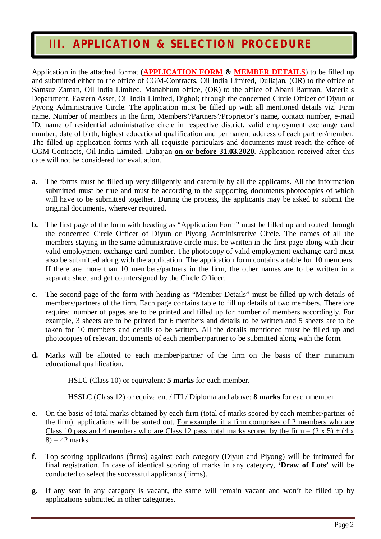#### **III. APPLICATION & SELECTION PROCEDURE**

Application in the attached format (**APPLICATION FORM & MEMBER DETAILS**) to be filled up and submitted either to the office of CGM-Contracts, Oil India Limited, Duliajan, (OR) to the office of Samsuz Zaman, Oil India Limited, Manabhum office, (OR) to the office of Abani Barman, Materials Department, Eastern Asset, Oil India Limited, Digboi; through the concerned Circle Officer of Diyun or Piyong Administrative Circle. The application must be filled up with all mentioned details viz. Firm name, Number of members in the firm, Members'/Partners'/Proprietor's name, contact number, e-mail ID, name of residential administrative circle in respective district, valid employment exchange card number, date of birth, highest educational qualification and permanent address of each partner/member. The filled up application forms with all requisite particulars and documents must reach the office of CGM-Contracts, Oil India Limited, Duliajan **on or before 31.03.2020**. Application received after this date will not be considered for evaluation.

- **a.** The forms must be filled up very diligently and carefully by all the applicants. All the information submitted must be true and must be according to the supporting documents photocopies of which will have to be submitted together. During the process, the applicants may be asked to submit the original documents, wherever required.
- **b.** The first page of the form with heading as "Application Form" must be filled up and routed through the concerned Circle Officer of Diyun or Piyong Administrative Circle. The names of all the members staying in the same administrative circle must be written in the first page along with their valid employment exchange card number. The photocopy of valid employment exchange card must also be submitted along with the application. The application form contains a table for 10 members. If there are more than 10 members/partners in the firm, the other names are to be written in a separate sheet and get countersigned by the Circle Officer.
- **c.** The second page of the form with heading as "Member Details" must be filled up with details of members/partners of the firm. Each page contains table to fill up details of two members. Therefore required number of pages are to be printed and filled up for number of members accordingly. For example, 3 sheets are to be printed for 6 members and details to be written and 5 sheets are to be taken for 10 members and details to be written. All the details mentioned must be filled up and photocopies of relevant documents of each member/partner to be submitted along with the form.
- **d.** Marks will be allotted to each member/partner of the firm on the basis of their minimum educational qualification.

HSLC (Class 10) or equivalent: **5 marks** for each member.

HSSLC (Class 12) or equivalent / ITI / Diploma and above: **8 marks** for each member

- **e.** On the basis of total marks obtained by each firm (total of marks scored by each member/partner of the firm), applications will be sorted out. For example, if a firm comprises of 2 members who are Class 10 pass and 4 members who are Class 12 pass; total marks scored by the firm =  $(2 \times 5) + (4 \times$  $8$ ) = 42 marks.
- **f.** Top scoring applications (firms) against each category (Diyun and Piyong) will be intimated for final registration. In case of identical scoring of marks in any category, **'Draw of Lots'** will be conducted to select the successful applicants (firms).
- **g.** If any seat in any category is vacant, the same will remain vacant and won't be filled up by applications submitted in other categories.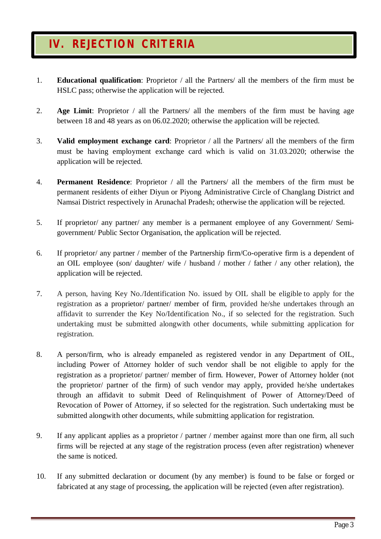### **IV. REJECTION CRITERIA**

- 1. **Educational qualification**: Proprietor / all the Partners/ all the members of the firm must be HSLC pass; otherwise the application will be rejected.
- 2. **Age Limit**: Proprietor / all the Partners/ all the members of the firm must be having age between 18 and 48 years as on 06.02.2020; otherwise the application will be rejected.
- 3. **Valid employment exchange card**: Proprietor / all the Partners/ all the members of the firm must be having employment exchange card which is valid on 31.03.2020; otherwise the application will be rejected.
- 4. **Permanent Residence**: Proprietor / all the Partners/ all the members of the firm must be permanent residents of either Diyun or Piyong Administrative Circle of Changlang District and Namsai District respectively in Arunachal Pradesh; otherwise the application will be rejected.
- 5. If proprietor/ any partner/ any member is a permanent employee of any Government/ Semigovernment/ Public Sector Organisation, the application will be rejected.
- 6. If proprietor/ any partner / member of the Partnership firm/Co-operative firm is a dependent of an OIL employee (son/ daughter/ wife / husband / mother / father / any other relation), the application will be rejected.
- 7. A person, having Key No./Identification No. issued by OIL shall be eligible to apply for the registration as a proprietor/ partner/ member of firm, provided he/she undertakes through an affidavit to surrender the Key No/Identification No., if so selected for the registration. Such undertaking must be submitted alongwith other documents, while submitting application for registration.
- 8. A person/firm, who is already empaneled as registered vendor in any Department of OIL, including Power of Attorney holder of such vendor shall be not eligible to apply for the registration as a proprietor/ partner/ member of firm. However, Power of Attorney holder (not the proprietor/ partner of the firm) of such vendor may apply, provided he/she undertakes through an affidavit to submit Deed of Relinquishment of Power of Attorney/Deed of Revocation of Power of Attorney, if so selected for the registration. Such undertaking must be submitted alongwith other documents, while submitting application for registration.
- 9. If any applicant applies as a proprietor / partner / member against more than one firm, all such firms will be rejected at any stage of the registration process (even after registration) whenever the same is noticed.
- 10. If any submitted declaration or document (by any member) is found to be false or forged or fabricated at any stage of processing, the application will be rejected (even after registration).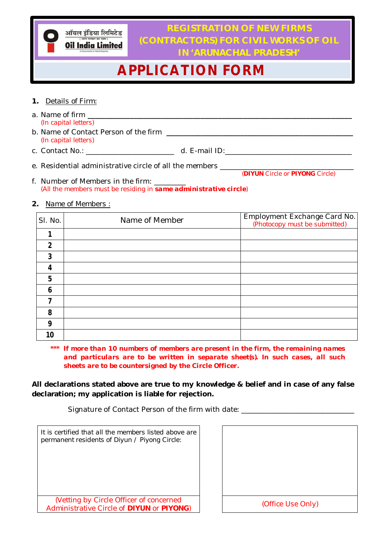ऑयल इंडिया लिमिटेड **Oil India Limited** 

**REGISTRATION OF NEW FIRMS (CONTRACTORS) FOR CIVIL WORKS OF OIL IN 'ARUNACHAL PRADESH'**

# **APPLICATION FORM**

- **1.** *Details of Firm:*
- a. Name of firm **\_\_\_\_\_\_\_\_\_\_\_\_\_\_\_\_\_\_\_\_\_\_\_\_\_\_\_\_\_\_\_\_\_\_\_\_\_\_\_\_\_\_\_\_\_\_\_\_\_\_\_\_\_\_\_\_\_\_\_\_\_\_\_\_\_\_\_\_\_\_\_\_\_\_\_** *(In capital letters)*
- b. Name of Contact Person of the firm **\_\_\_\_\_\_\_\_\_\_\_\_\_\_\_\_\_\_\_\_\_\_\_\_\_\_\_\_\_\_\_\_\_\_\_\_\_\_\_\_\_\_\_\_\_\_\_\_\_\_\_\_\_** *(In capital letters)*
- c. Contact No.: \_\_\_\_\_\_\_\_\_\_\_\_\_\_\_\_\_\_\_\_\_\_\_\_\_ d. E-mail ID:\_\_\_\_\_\_\_\_\_\_\_\_\_\_\_\_\_\_\_\_\_\_\_\_\_\_\_\_\_\_\_\_\_\_\_\_
- e. Residential administrative circle of all the members \_\_\_\_\_

 *(DIYUN Circle or PIYONG Circle)*

- f. Number of Members in the firm: *(All the members must be residing in same administrative circle)*
- **2.** *Name of Members :*

| SI. No. | Name of Member | Employment Exchange Card No.<br>(Photocopy must be submitted) |
|---------|----------------|---------------------------------------------------------------|
|         |                |                                                               |
| 2       |                |                                                               |
| 3       |                |                                                               |
| 4       |                |                                                               |
| 5       |                |                                                               |
| 6       |                |                                                               |
|         |                |                                                               |
| 8       |                |                                                               |
| 9       |                |                                                               |
| 10      |                |                                                               |

*\*\*\* If more than 10 numbers of members are present in the firm, the remaining names and particulars are to be written in separate sheet(s). In such cases, all such sheets are to be countersigned by the Circle Officer.*

**All declarations stated above are true to my knowledge & belief and in case of any false declaration; my application is liable for rejection.**

Signature of Contact Person of the firm with date:

| It is certified that all the members listed above are<br>permanent residents of Diyun / Piyong Circle: |                   |
|--------------------------------------------------------------------------------------------------------|-------------------|
| (Vetting by Circle Officer of concerned<br>Administrative Circle of DIYUN or PIYONG)                   | (Office Use Only) |